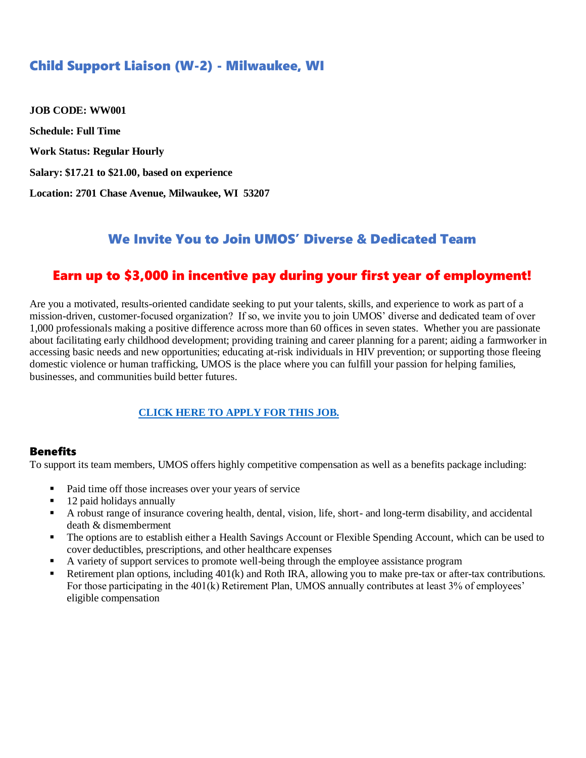# Child Support Liaison (W-2) - Milwaukee, WI

**JOB CODE: WW001 Schedule: Full Time Work Status: Regular Hourly Salary: \$17.21 to \$21.00, based on experience Location: 2701 Chase Avenue, Milwaukee, WI 53207**

## We Invite You to Join UMOS' Diverse & Dedicated Team

# Earn up to \$3,000 in incentive pay during your first year of employment!

Are you a motivated, results-oriented candidate seeking to put your talents, skills, and experience to work as part of a mission-driven, customer-focused organization? If so, we invite you to join UMOS' diverse and dedicated team of over 1,000 professionals making a positive difference across more than 60 offices in seven states. Whether you are passionate about facilitating early childhood development; providing training and career planning for a parent; aiding a farmworker in accessing basic needs and new opportunities; educating at-risk individuals in HIV prevention; or supporting those fleeing domestic violence or human trafficking, UMOS is the place where you can fulfill your passion for helping families, businesses, and communities build better futures.

#### **[CLICK HERE TO APPLY FOR THIS JOB.](https://www.umos.org/job-application/)**

#### **Benefits**

To support its team members, UMOS offers highly competitive compensation as well as a benefits package including:

- Paid time off those increases over your years of service
- 12 paid holidays annually
- A robust range of insurance covering health, dental, vision, life, short- and long-term disability, and accidental death & dismemberment
- The options are to establish either a Health Savings Account or Flexible Spending Account, which can be used to cover deductibles, prescriptions, and other healthcare expenses
- A variety of support services to promote well-being through the employee assistance program
- Retirement plan options, including  $401(k)$  and Roth IRA, allowing you to make pre-tax or after-tax contributions. For those participating in the 401(k) Retirement Plan, UMOS annually contributes at least 3% of employees' eligible compensation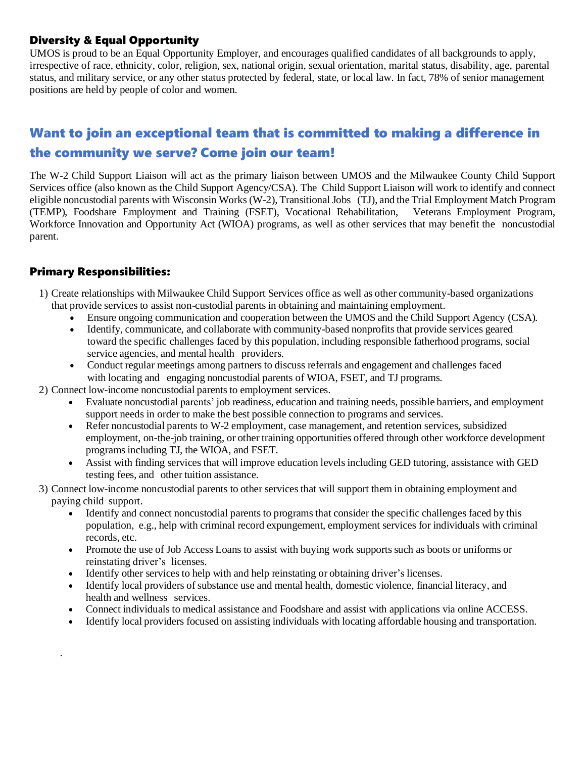## Diversity & Equal Opportunity

UMOS is proud to be an Equal Opportunity Employer, and encourages qualified candidates of all backgrounds to apply, irrespective of race, ethnicity, color, religion, sex, national origin, sexual orientation, marital status, disability, age, parental status, and military service, or any other status protected by federal, state, or local law. In fact, 78% of senior management positions are held by people of color and women.

# Want to join an exceptional team that is committed to making a difference in the community we serve? Come join our team!

The W-2 Child Support Liaison will act as the primary liaison between UMOS and the Milwaukee County Child Support Services office (also known as the Child Support Agency/CSA). The Child Support Liaison will work to identify and connect eligible noncustodial parents with Wisconsin Works (W-2), Transitional Jobs (TJ), and the Trial Employment Match Program (TEMP), Foodshare Employment and Training (FSET), Vocational Rehabilitation, Veterans Employment Program, Workforce Innovation and Opportunity Act (WIOA) programs, as well as other services that may benefit the noncustodial parent.

### Primary Responsibilities:

.

- 1) Create relationships with Milwaukee Child Support Services office as well as other community-based organizations that provide services to assist non-custodial parents in obtaining and maintaining employment.
	- Ensure ongoing communication and cooperation between the UMOS and the Child Support Agency (CSA).
	- Identify, communicate, and collaborate with community-based nonprofits that provide services geared toward the specific challenges faced by this population, including responsible fatherhood programs, social service agencies, and mental health providers.
	- Conduct regular meetings among partners to discuss referrals and engagement and challenges faced with locating and engaging noncustodial parents of WIOA, FSET, and TJ programs.
- 2) Connect low-income noncustodial parents to employment services.
	- Evaluate noncustodial parents' job readiness, education and training needs, possible barriers, and employment support needs in order to make the best possible connection to programs and services.
	- Refer noncustodial parents to W-2 employment, case management, and retention services, subsidized employment, on-the-job training, or other training opportunities offered through other workforce development programs including TJ, the WIOA, and FSET.
	- Assist with finding services that will improve education levels including GED tutoring, assistance with GED testing fees, and other tuition assistance.
- 3) Connect low-income noncustodial parents to other services that will support them in obtaining employment and paying child support.
	- Identify and connect noncustodial parents to programs that consider the specific challenges faced by this population, e.g., help with criminal record expungement, employment services for individuals with criminal records, etc.
	- Promote the use of Job Access Loans to assist with buying work supports such as boots or uniforms or reinstating driver's licenses.
	- Identify other services to help with and help reinstating or obtaining driver's licenses.
	- Identify local providers ofsubstance use and mental health, domestic violence, financial literacy, and health and wellness services.
	- Connect individuals to medical assistance and Foodshare and assist with applications via online ACCESS.
	- Identify local providers focused on assisting individuals with locating affordable housing and transportation.